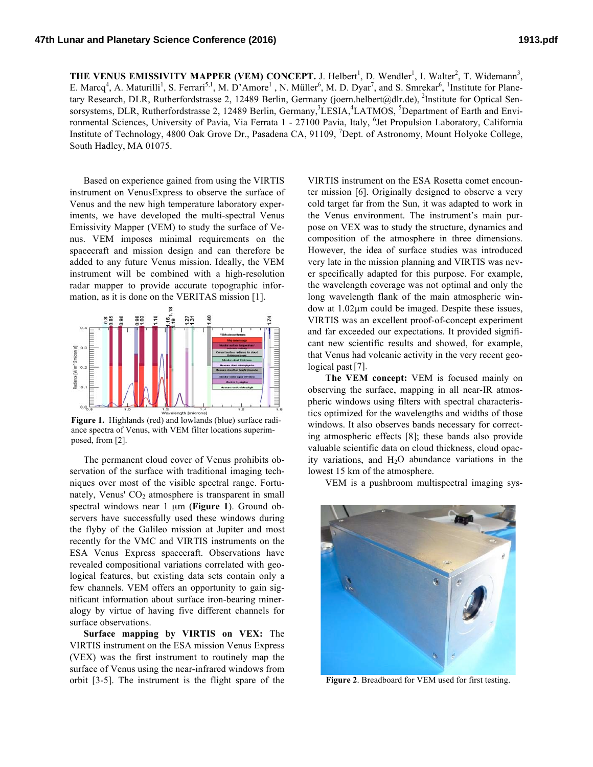**THE VENUS EMISSIVITY MAPPER (VEM) CONCEPT.** J. Helbert<sup>1</sup>, D. Wendler<sup>1</sup>, I. Walter<sup>2</sup>, T. Widemann<sup>3</sup>, E. Marcq<sup>4</sup>, A. Maturilli<sup>1</sup>, S. Ferrari<sup>5,1</sup>, M. D'Amore<sup>1</sup>, N. Müller<sup>6</sup>, M. D. Dyar<sup>7</sup>, and S. Smrekar<sup>6</sup>, <sup>1</sup>Institute for Planetary Research, DLR, Rutherfordstrasse 2, 12489 Berlin, Germany (joern.helbert@dlr.de), <sup>2</sup>Institute for Optical Sensorsystems, DLR, Rutherfordstrasse 2, 12489 Berlin, Germany,<sup>3</sup>LESIA,<sup>4</sup>LATMOS, <sup>5</sup>Department of Earth and Environmental Sciences, University of Pavia, Via Ferrata 1 - 27100 Pavia, Italy, <sup>6</sup>Jet Propulsion Laboratory, California Institute of Technology, 4800 Oak Grove Dr., Pasadena CA, 91109, <sup>7</sup>Dept. of Astronomy, Mount Holyoke College, South Hadley, MA 01075.

Based on experience gained from using the VIRTIS instrument on VenusExpress to observe the surface of Venus and the new high temperature laboratory experiments, we have developed the multi-spectral Venus Emissivity Mapper (VEM) to study the surface of Venus. VEM imposes minimal requirements on the spacecraft and mission design and can therefore be added to any future Venus mission. Ideally, the VEM instrument will be combined with a high-resolution radar mapper to provide accurate topographic information, as it is done on the VERITAS mission [1].



**Figure 1.** Highlands (red) and lowlands (blue) surface radiance spectra of Venus, with VEM filter locations superimposed, from [2].

The permanent cloud cover of Venus prohibits observation of the surface with traditional imaging techniques over most of the visible spectral range. Fortunately, Venus'  $CO<sub>2</sub>$  atmosphere is transparent in small spectral windows near 1  $\mu$ m (Figure 1). Ground observers have successfully used these windows during the flyby of the Galileo mission at Jupiter and most recently for the VMC and VIRTIS instruments on the ESA Venus Express spacecraft. Observations have revealed compositional variations correlated with geological features, but existing data sets contain only a few channels. VEM offers an opportunity to gain significant information about surface iron-bearing mineralogy by virtue of having five different channels for surface observations.

**Surface mapping by VIRTIS on VEX:** The VIRTIS instrument on the ESA mission Venus Express (VEX) was the first instrument to routinely map the surface of Venus using the near-infrared windows from orbit [3-5]. The instrument is the flight spare of the

VIRTIS instrument on the ESA Rosetta comet encounter mission [6]. Originally designed to observe a very cold target far from the Sun, it was adapted to work in the Venus environment. The instrument's main purpose on VEX was to study the structure, dynamics and composition of the atmosphere in three dimensions. However, the idea of surface studies was introduced very late in the mission planning and VIRTIS was never specifically adapted for this purpose. For example, the wavelength coverage was not optimal and only the long wavelength flank of the main atmospheric window at 1.02µm could be imaged. Despite these issues, VIRTIS was an excellent proof-of-concept experiment and far exceeded our expectations. It provided significant new scientific results and showed, for example, that Venus had volcanic activity in the very recent geological past [7].

**The VEM concept:** VEM is focused mainly on observing the surface, mapping in all near-IR atmospheric windows using filters with spectral characteristics optimized for the wavelengths and widths of those windows. It also observes bands necessary for correcting atmospheric effects [8]; these bands also provide valuable scientific data on cloud thickness, cloud opacity variations, and  $H<sub>2</sub>O$  abundance variations in the lowest 15 km of the atmosphere.

VEM is a pushbroom multispectral imaging sys-



**Figure 2**. Breadboard for VEM used for first testing.